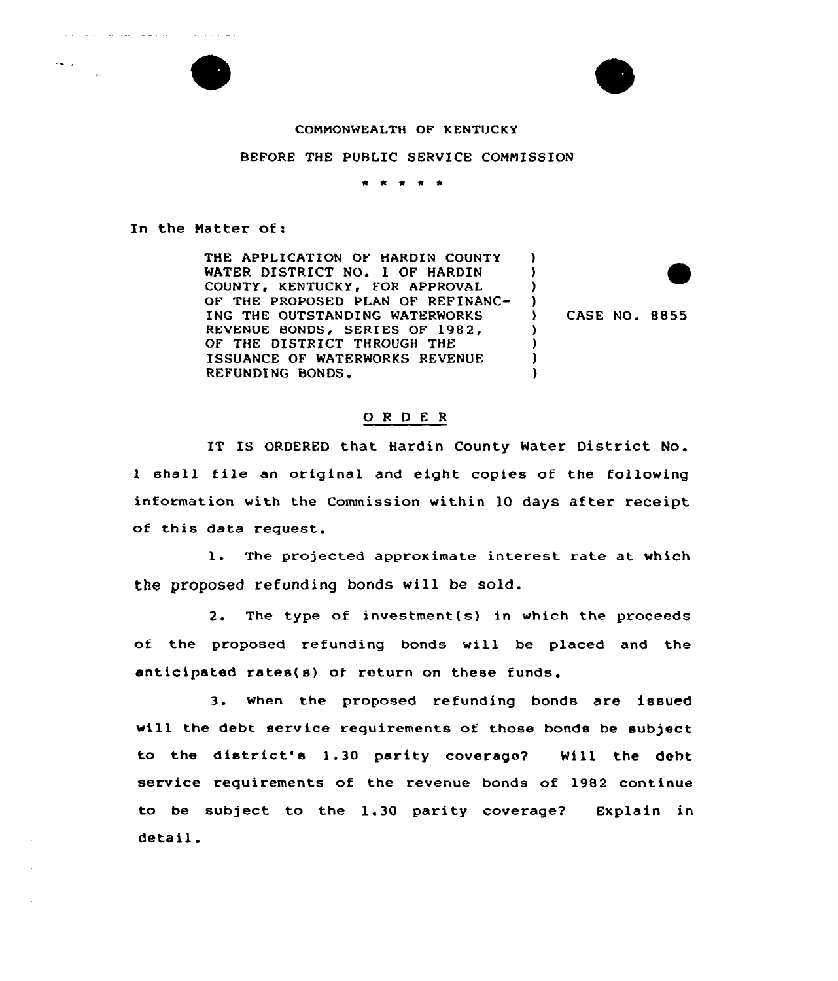## CONNONWEALTH OF KENTUCKY

## BEFORE THE PUBLIC SERVICE COMNISSION

\* <sup>4</sup> <sup>4</sup> \*

## In the Natter of:

THE APPLICATION OF HARDIN COUNTY WATER DISTRICT NO. 1 OF HARDIN COUNTY, KENTUCKY, FOR APPROVAL OF THE PROPOSED PLAN OF REFINANC-ING THE OUTSTANDING WATERWORKS REVENUE BONDS, SERIES OF 1982, OF THE DISTRICT THROUGH THE ISSUANCE OF WATERWORKS REVENUE REFUNDING BONDS.

) CASE NO. 8855

)  $\lambda$ ) )

> ) ) ) )

## O R D E R

IT IS ORDERED that Hardin County Water District No. <sup>1</sup> shall file an original and eight copies of the following information with the Commission within 10 days after receipt of this data request.

1. The projected approximate interest rate at which the proposed refunding bonds will be sold.

2. The type of investment(s) in which the proceeds of the proposed refunding bonds will be placed and the anticipated rates(s) of return on these funds.

3. When the proposed refunding bonds are issued will the debt service requirements of those bonds be subject to the district's 1.30 parity coverage? Mill the debt service requirements of the revenue bonds of 1982 continue to be subject to the 1.30 parity coverage? Explain in detail.



 $\mathcal{A}=\mathcal{A}$  , we can be

الفراد ساعت التفاد القا